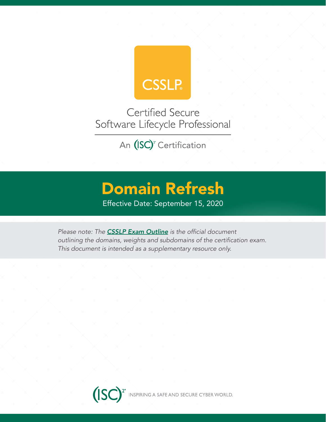

Certified Secure Software Lifecycle Professional

An (ISC)<sup>2</sup> Certification

# Domain Refresh

Effective Date: September 15, 2020

*Please note: The [CSSLP Exam Outline](https://www.isc2.org/-/media/ISC2/Certifications/Exam-Outlines/CSSLP-Exam-Outline-Sept2020.ashx?la=en&hash=60B0E856465CF3F4607168AE91B7102F11DC3B03)* is the official document outlining the domains, weights and subdomains of the certification exam. This document is intended as a supplementary resource only.

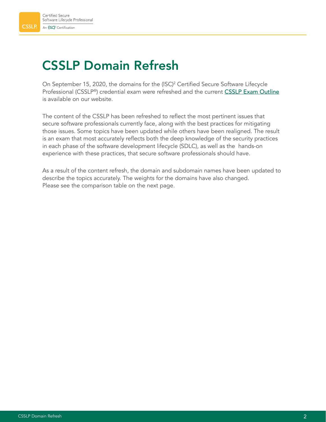## CSSLP Domain Refresh

On September 15, 2020, the domains for the (ISC)<sup>2</sup> Certified Secure Software Lifecycle Professional (CSSLP®) credential exam were refreshed and the current [CSSLP Exam Outline](https://www.isc2.org/-/media/ISC2/Certifications/Exam-Outlines/CSSLP-Exam-Outline-Sept2020.ashx?la=en&hash=60B0E856465CF3F4607168AE91B7102F11DC3B03) is available on our website.

The content of the CSSLP has been refreshed to reflect the most pertinent issues that secure software professionals currently face, along with the best practices for mitigating those issues. Some topics have been updated while others have been realigned. The result is an exam that most accurately reflects both the deep knowledge of the security practices in each phase of the software development lifecycle (SDLC), as well as the hands-on experience with these practices, that secure software professionals should have.

As a result of the content refresh, the domain and subdomain names have been updated to describe the topics accurately. The weights for the domains have also changed. Please see the comparison table on the next page.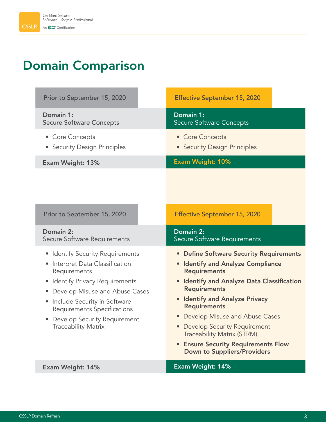## Domain Comparison

| Prior to September 15, 2020                                                                                                                                                                                                                                                                                   | <b>Effective September 15, 2020</b>                                                                                                                                                                                                                                                                                                                                                                                                   |
|---------------------------------------------------------------------------------------------------------------------------------------------------------------------------------------------------------------------------------------------------------------------------------------------------------------|---------------------------------------------------------------------------------------------------------------------------------------------------------------------------------------------------------------------------------------------------------------------------------------------------------------------------------------------------------------------------------------------------------------------------------------|
| Domain 1:<br><b>Secure Software Concepts</b>                                                                                                                                                                                                                                                                  | Domain 1:<br><b>Secure Software Concepts</b>                                                                                                                                                                                                                                                                                                                                                                                          |
| • Core Concepts<br>• Security Design Principles                                                                                                                                                                                                                                                               | • Core Concepts<br>• Security Design Principles                                                                                                                                                                                                                                                                                                                                                                                       |
| Exam Weight: 13%                                                                                                                                                                                                                                                                                              | <b>Exam Weight: 10%</b>                                                                                                                                                                                                                                                                                                                                                                                                               |
|                                                                                                                                                                                                                                                                                                               |                                                                                                                                                                                                                                                                                                                                                                                                                                       |
| Prior to September 15, 2020                                                                                                                                                                                                                                                                                   | <b>Effective September 15, 2020</b>                                                                                                                                                                                                                                                                                                                                                                                                   |
| Domain 2:                                                                                                                                                                                                                                                                                                     | Domain 2:                                                                                                                                                                                                                                                                                                                                                                                                                             |
| Secure Software Requirements                                                                                                                                                                                                                                                                                  | Secure Software Requirements                                                                                                                                                                                                                                                                                                                                                                                                          |
| <b>Identify Security Requirements</b><br>Interpret Data Classification<br>$\bullet$<br>Requirements<br>Identify Privacy Requirements<br>• Develop Misuse and Abuse Cases<br>Include Security in Software<br>$\bullet$<br>Requirements Specifications<br>• Develop Security Requirement<br>Traceability Matrix | • Define Software Security Requirements<br>• Identify and Analyze Compliance<br><b>Requirements</b><br><b>Identify and Analyze Data Classification</b><br><b>Requirements</b><br>• Identify and Analyze Privacy<br><b>Requirements</b><br>• Develop Misuse and Abuse Cases<br>• Develop Security Requirement<br><b>Traceability Matrix (STRM)</b><br><b>• Ensure Security Requirements Flow</b><br><b>Down to Suppliers/Providers</b> |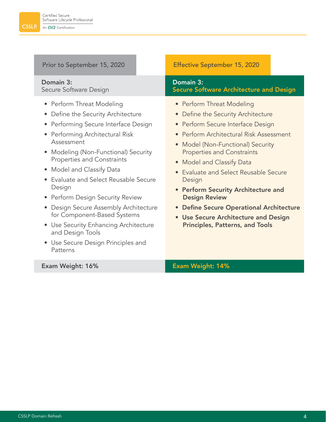#### Domain 3: Secure Software Design

- Perform Threat Modeling
- Define the Security Architecture
- Performing Secure Interface Design
- Performing Architectural Risk Assessment
- Modeling (Non-Functional) Security Properties and Constraints
- Model and Classify Data
- Evaluate and Select Reusable Secure Design
- Perform Design Security Review
- Design Secure Assembly Architecture for Component-Based Systems
- Use Security Enhancing Architecture and Design Tools
- Use Secure Design Principles and Patterns

#### Prior to September 15, 2020 **Effective September 15, 2020**

#### Domain 3: Secure Software Architecture and Design

- Perform Threat Modeling
- Define the Security Architecture
- Perform Secure Interface Design
- Perform Architectural Risk Assessment
- Model (Non-Functional) Security Properties and Constraints
- Model and Classify Data
- Evaluate and Select Reusable Secure Design
- Perform Security Architecture and Design Review
- • Define Secure Operational Architecture
- Use Secure Architecture and Design Principles, Patterns, and Tools

#### Exam Weight: 16% Exam Weight: 14%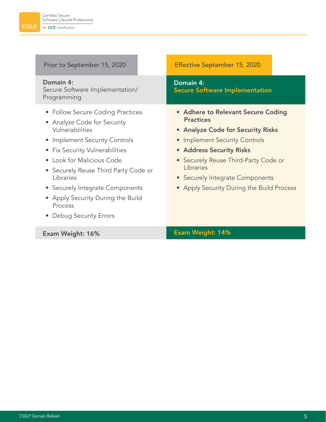| Prior to September 15, 2020                                                                                                                                                                                                                                                                                                                                                        | <b>Effective September 15, 2020</b>                                                                                                                                                                                                                                                           |
|------------------------------------------------------------------------------------------------------------------------------------------------------------------------------------------------------------------------------------------------------------------------------------------------------------------------------------------------------------------------------------|-----------------------------------------------------------------------------------------------------------------------------------------------------------------------------------------------------------------------------------------------------------------------------------------------|
| Domain 4:<br>Secure Software Implementation/<br>Programming                                                                                                                                                                                                                                                                                                                        | Domain 4:<br><b>Secure Software Implementation</b>                                                                                                                                                                                                                                            |
| • Follow Secure Coding Practices<br>• Analyze Code for Security<br>Vulnerabilities<br><b>Implement Security Controls</b><br>$\bullet$<br>• Fix Security Vulnerabilities<br>Look for Malicious Code<br>$\bullet$<br>• Securely Reuse Third Party Code or<br>Libraries<br>• Securely Integrate Components<br>• Apply Security During the Build<br>Process<br>• Debug Security Errors | • Adhere to Relevant Secure Coding<br><b>Practices</b><br>• Analyze Code for Security Risks<br>• Implement Security Controls<br>• Address Security Risks<br>• Securely Reuse Third-Party Code or<br>Libraries<br>• Securely Integrate Components<br>• Apply Security During the Build Process |
| Exam Weight: 16%                                                                                                                                                                                                                                                                                                                                                                   | <b>Exam Weight: 14%</b>                                                                                                                                                                                                                                                                       |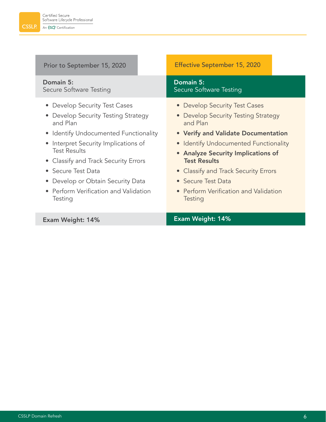| Prior to September 15, 2020                                                                                                                                                                                                                                                                                                                                       | <b>Effective September 15, 2020</b>                                                                                                                                                                                                                                                                                                                    |
|-------------------------------------------------------------------------------------------------------------------------------------------------------------------------------------------------------------------------------------------------------------------------------------------------------------------------------------------------------------------|--------------------------------------------------------------------------------------------------------------------------------------------------------------------------------------------------------------------------------------------------------------------------------------------------------------------------------------------------------|
| Domain 5:<br>Secure Software Testing                                                                                                                                                                                                                                                                                                                              | Domain 5:<br>Secure Software Testing                                                                                                                                                                                                                                                                                                                   |
| • Develop Security Test Cases<br>• Develop Security Testing Strategy<br>and Plan<br>• Identify Undocumented Functionality<br>Interpret Security Implications of<br><b>Test Results</b><br>• Classify and Track Security Errors<br>Secure Test Data<br>$\bullet$<br>Develop or Obtain Security Data<br>$\bullet$<br>Perform Verification and Validation<br>Testing | • Develop Security Test Cases<br>• Develop Security Testing Strategy<br>and Plan<br>• Verify and Validate Documentation<br>• Identify Undocumented Functionality<br>• Analyze Security Implications of<br><b>Test Results</b><br>• Classify and Track Security Errors<br>• Secure Test Data<br>• Perform Verification and Validation<br><b>Testing</b> |
| <b>Exam Weight: 14%</b>                                                                                                                                                                                                                                                                                                                                           | Exam Weight: 14%                                                                                                                                                                                                                                                                                                                                       |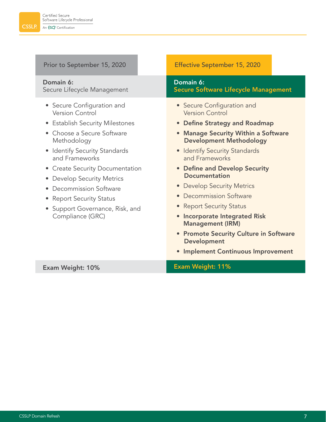٠

| Prior to September 15, 2020                                                                                                                                                                                                                                                                                                                                                                                                                      | <b>Effective September 15, 2020</b>                                                                                                                                                                                                                                                                                                                                                                                                                                                                                                                                             |
|--------------------------------------------------------------------------------------------------------------------------------------------------------------------------------------------------------------------------------------------------------------------------------------------------------------------------------------------------------------------------------------------------------------------------------------------------|---------------------------------------------------------------------------------------------------------------------------------------------------------------------------------------------------------------------------------------------------------------------------------------------------------------------------------------------------------------------------------------------------------------------------------------------------------------------------------------------------------------------------------------------------------------------------------|
| Domain 6:<br>Secure Lifecycle Management                                                                                                                                                                                                                                                                                                                                                                                                         | Domain 6:<br><b>Secure Software Lifecycle Management</b>                                                                                                                                                                                                                                                                                                                                                                                                                                                                                                                        |
| • Secure Configuration and<br><b>Version Control</b><br>• Establish Security Milestones<br>Choose a Secure Software<br>Methodology<br>• Identify Security Standards<br>and Frameworks<br><b>Create Security Documentation</b><br>$\bullet$<br><b>Develop Security Metrics</b><br>$\bullet$<br>Decommission Software<br>$\bullet$<br><b>Report Security Status</b><br>$\bullet$<br>Support Governance, Risk, and<br>$\bullet$<br>Compliance (GRC) | • Secure Configuration and<br><b>Version Control</b><br>• Define Strategy and Roadmap<br><b>Manage Security Within a Software</b><br>$\bullet$<br><b>Development Methodology</b><br>• Identify Security Standards<br>and Frameworks<br>• Define and Develop Security<br><b>Documentation</b><br><b>Develop Security Metrics</b><br>$\bullet$<br>• Decommission Software<br>• Report Security Status<br><b>Incorporate Integrated Risk</b><br><b>Management (IRM)</b><br>• Promote Security Culture in Software<br><b>Development</b><br><b>Implement Continuous Improvement</b> |
| Exam Weight: 10%                                                                                                                                                                                                                                                                                                                                                                                                                                 | Exam Weight: 11%                                                                                                                                                                                                                                                                                                                                                                                                                                                                                                                                                                |

۰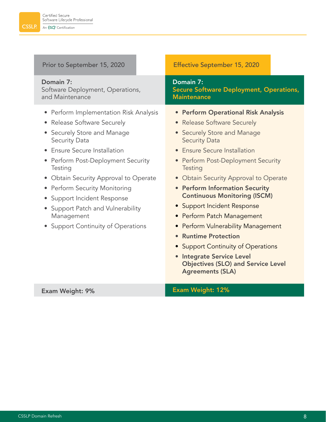| Prior to September 15, 2020                                                                                                                                                                                                                                                                                                                                                                                          |  | <b>Effective September 15, 2020</b>                                                                                                                                                                                                                                                                                                                                                                                                                                                                                                                                                                |  |
|----------------------------------------------------------------------------------------------------------------------------------------------------------------------------------------------------------------------------------------------------------------------------------------------------------------------------------------------------------------------------------------------------------------------|--|----------------------------------------------------------------------------------------------------------------------------------------------------------------------------------------------------------------------------------------------------------------------------------------------------------------------------------------------------------------------------------------------------------------------------------------------------------------------------------------------------------------------------------------------------------------------------------------------------|--|
| Domain 7:<br>Software Deployment, Operations,<br>and Maintenance                                                                                                                                                                                                                                                                                                                                                     |  | Domain 7:<br><b>Secure Software Deployment, Operations,</b><br><b>Maintenance</b>                                                                                                                                                                                                                                                                                                                                                                                                                                                                                                                  |  |
| • Perform Implementation Risk Analysis<br>• Release Software Securely<br>• Securely Store and Manage<br><b>Security Data</b><br>• Ensure Secure Installation<br>• Perform Post-Deployment Security<br>Testing<br>• Obtain Security Approval to Operate<br>• Perform Security Monitoring<br>• Support Incident Response<br>• Support Patch and Vulnerability<br>Management<br><b>Support Continuity of Operations</b> |  | • Perform Operational Risk Analysis<br>• Release Software Securely<br>• Securely Store and Manage<br><b>Security Data</b><br>• Ensure Secure Installation<br>• Perform Post-Deployment Security<br>Testing<br>• Obtain Security Approval to Operate<br>• Perform Information Security<br><b>Continuous Monitoring (ISCM)</b><br>• Support Incident Response<br>• Perform Patch Management<br>• Perform Vulnerability Management<br>• Runtime Protection<br>• Support Continuity of Operations<br>• Integrate Service Level<br><b>Objectives (SLO) and Service Level</b><br><b>Agreements (SLA)</b> |  |
| <b>Exam Weight: 9%</b>                                                                                                                                                                                                                                                                                                                                                                                               |  | <b>Exam Weight: 12%</b>                                                                                                                                                                                                                                                                                                                                                                                                                                                                                                                                                                            |  |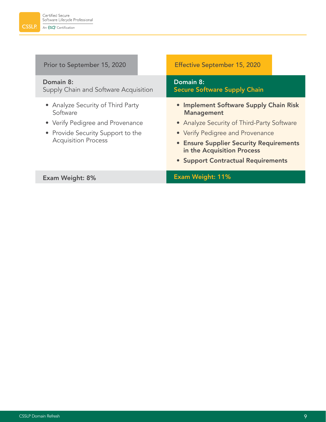| Prior to September 15, 2020                                                       | <b>Effective September 15, 2020</b>                                                                                                                    |  |
|-----------------------------------------------------------------------------------|--------------------------------------------------------------------------------------------------------------------------------------------------------|--|
| Domain 8:<br>Supply Chain and Software Acquisition                                | Domain 8:<br><b>Secure Software Supply Chain</b>                                                                                                       |  |
| • Analyze Security of Third Party<br>Software<br>• Verify Pedigree and Provenance | • Implement Software Supply Chain Risk<br><b>Management</b><br>• Analyze Security of Third-Party Software                                              |  |
| • Provide Security Support to the<br><b>Acquisition Process</b>                   | • Verify Pedigree and Provenance<br><b>• Ensure Supplier Security Requirements</b><br>in the Acquisition Process<br>• Support Contractual Requirements |  |
| <b>Exam Weight: 8%</b>                                                            | <b>Exam Weight: 11%</b>                                                                                                                                |  |